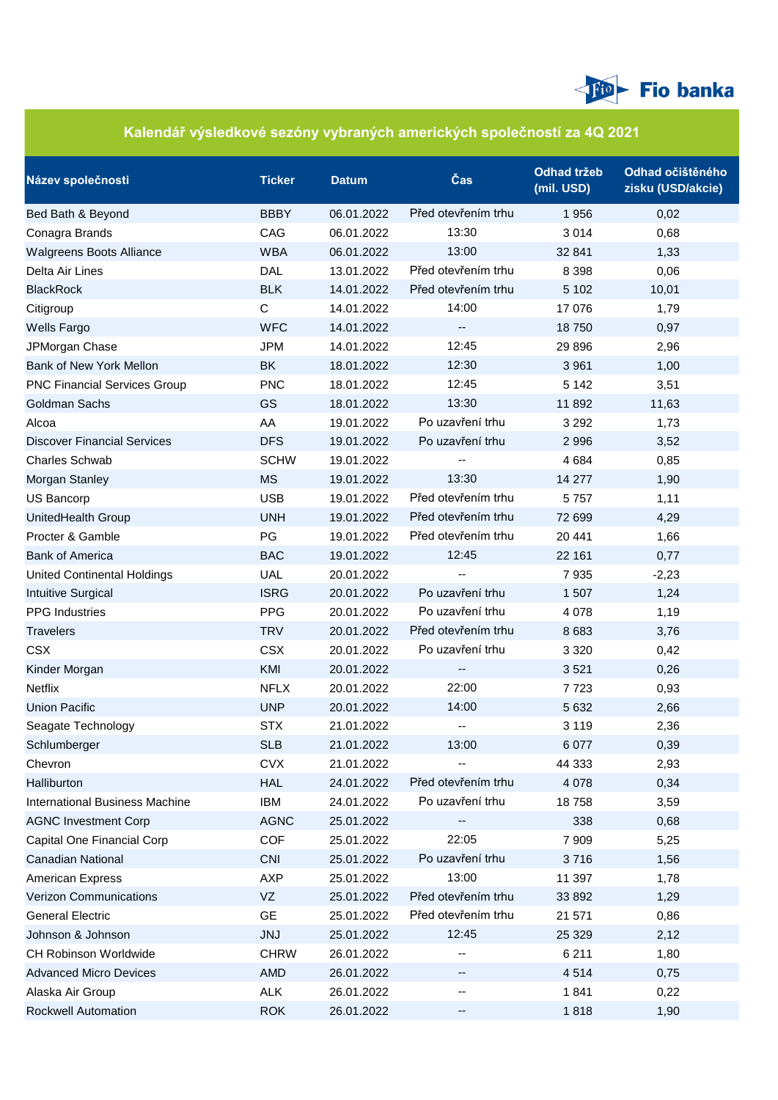

## **Kalendář výsledkové sezóny vybraných amerických společností za 4Q 2021**

| Název společnosti                     | <b>Ticker</b> | <b>Datum</b> | $\check{\textbf{C}}$ as | <b>Odhad tržeb</b><br>(mil. USD) | Odhad očištěného<br>zisku (USD/akcie) |
|---------------------------------------|---------------|--------------|-------------------------|----------------------------------|---------------------------------------|
| Bed Bath & Beyond                     | <b>BBBY</b>   | 06.01.2022   | Před otevřením trhu     | 1956                             | 0,02                                  |
| Conagra Brands                        | CAG           | 06.01.2022   | 13:30                   | 3 0 1 4                          | 0,68                                  |
| Walgreens Boots Alliance              | <b>WBA</b>    | 06.01.2022   | 13:00                   | 32 841                           | 1,33                                  |
| Delta Air Lines                       | <b>DAL</b>    | 13.01.2022   | Před otevřením trhu     | 8 3 9 8                          | 0,06                                  |
| <b>BlackRock</b>                      | <b>BLK</b>    | 14.01.2022   | Před otevřením trhu     | 5 1 0 2                          | 10,01                                 |
| Citigroup                             | C             | 14.01.2022   | 14:00                   | 17 076                           | 1,79                                  |
| <b>Wells Fargo</b>                    | <b>WFC</b>    | 14.01.2022   | --                      | 18750                            | 0,97                                  |
| JPMorgan Chase                        | <b>JPM</b>    | 14.01.2022   | 12:45                   | 29 8 96                          | 2,96                                  |
| Bank of New York Mellon               | BK            | 18.01.2022   | 12:30                   | 3 9 6 1                          | 1,00                                  |
| <b>PNC Financial Services Group</b>   | <b>PNC</b>    | 18.01.2022   | 12:45                   | 5 1 4 2                          | 3,51                                  |
| <b>Goldman Sachs</b>                  | <b>GS</b>     | 18.01.2022   | 13:30                   | 11 892                           | 11,63                                 |
| Alcoa                                 | AA            | 19.01.2022   | Po uzavření trhu        | 3 2 9 2                          | 1,73                                  |
| <b>Discover Financial Services</b>    | <b>DFS</b>    | 19.01.2022   | Po uzavření trhu        | 2 9 9 6                          | 3,52                                  |
| <b>Charles Schwab</b>                 | <b>SCHW</b>   | 19.01.2022   |                         | 4 6 8 4                          | 0,85                                  |
| Morgan Stanley                        | <b>MS</b>     | 19.01.2022   | 13:30                   | 14 277                           | 1,90                                  |
| US Bancorp                            | <b>USB</b>    | 19.01.2022   | Před otevřením trhu     | 5757                             | 1,11                                  |
| UnitedHealth Group                    | <b>UNH</b>    | 19.01.2022   | Před otevřením trhu     | 72 699                           | 4,29                                  |
| Procter & Gamble                      | PG            | 19.01.2022   | Před otevřením trhu     | 20 441                           | 1,66                                  |
| <b>Bank of America</b>                | <b>BAC</b>    | 19.01.2022   | 12:45                   | 22 161                           | 0,77                                  |
| <b>United Continental Holdings</b>    | <b>UAL</b>    | 20.01.2022   |                         | 7935                             | $-2,23$                               |
| Intuitive Surgical                    | <b>ISRG</b>   | 20.01.2022   | Po uzavření trhu        | 1 507                            | 1,24                                  |
| <b>PPG</b> Industries                 | <b>PPG</b>    | 20.01.2022   | Po uzavření trhu        | 4 0 7 8                          | 1,19                                  |
| <b>Travelers</b>                      | <b>TRV</b>    | 20.01.2022   | Před otevřením trhu     | 8 6 8 3                          | 3,76                                  |
| <b>CSX</b>                            | <b>CSX</b>    | 20.01.2022   | Po uzavření trhu        | 3 3 2 0                          | 0,42                                  |
| Kinder Morgan                         | KMI           | 20.01.2022   |                         | 3521                             | 0,26                                  |
| Netflix                               | <b>NFLX</b>   | 20.01.2022   | 22:00                   | 7723                             | 0,93                                  |
| <b>Union Pacific</b>                  | <b>UNP</b>    | 20.01.2022   | 14:00                   | 5 6 3 2                          | 2,66                                  |
| Seagate Technology                    | <b>STX</b>    | 21.01.2022   |                         | 3 1 1 9                          | 2,36                                  |
| Schlumberger                          | <b>SLB</b>    | 21.01.2022   | 13:00                   | 6 0 7 7                          | 0,39                                  |
| Chevron                               | <b>CVX</b>    | 21.01.2022   |                         | 44 333                           | 2,93                                  |
| Halliburton                           | <b>HAL</b>    | 24.01.2022   | Před otevřením trhu     | 4 0 7 8                          | 0,34                                  |
| <b>International Business Machine</b> | <b>IBM</b>    | 24.01.2022   | Po uzavření trhu        | 18758                            | 3,59                                  |
| <b>AGNC Investment Corp</b>           | <b>AGNC</b>   | 25.01.2022   |                         | 338                              | 0,68                                  |
| Capital One Financial Corp            | <b>COF</b>    | 25.01.2022   | 22:05                   | 7 9 0 9                          | 5,25                                  |
| Canadian National                     | <b>CNI</b>    | 25.01.2022   | Po uzavření trhu        | 3716                             | 1,56                                  |
| <b>American Express</b>               | <b>AXP</b>    | 25.01.2022   | 13:00                   | 11 397                           | 1,78                                  |
| Verizon Communications                | VZ            | 25.01.2022   | Před otevřením trhu     | 33 892                           | 1,29                                  |
| <b>General Electric</b>               | <b>GE</b>     | 25.01.2022   | Před otevřením trhu     | 21 571                           | 0,86                                  |
| Johnson & Johnson                     | <b>JNJ</b>    | 25.01.2022   | 12:45                   | 25 3 29                          | 2,12                                  |
| <b>CH Robinson Worldwide</b>          | <b>CHRW</b>   | 26.01.2022   |                         | 6 2 1 1                          | 1,80                                  |
| <b>Advanced Micro Devices</b>         | <b>AMD</b>    | 26.01.2022   |                         | 4514                             | 0,75                                  |
| Alaska Air Group                      | <b>ALK</b>    | 26.01.2022   | --                      | 1841                             | 0,22                                  |
| Rockwell Automation                   | <b>ROK</b>    | 26.01.2022   | --                      | 1818                             | 1,90                                  |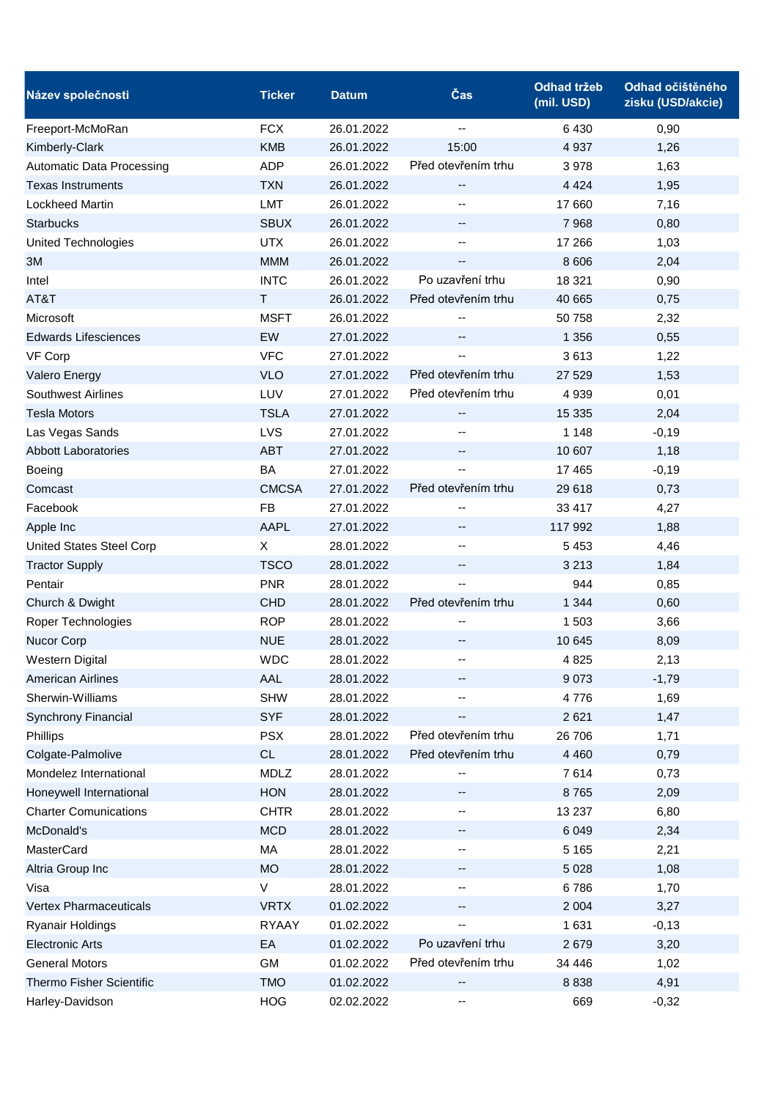| Název společnosti            | <b>Ticker</b> | <b>Datum</b> | Čas                      | <b>Odhad tržeb</b><br>(mil. USD) | Odhad očištěného<br>zisku (USD/akcie) |
|------------------------------|---------------|--------------|--------------------------|----------------------------------|---------------------------------------|
| Freeport-McMoRan             | <b>FCX</b>    | 26.01.2022   | $\overline{\phantom{a}}$ | 6430                             | 0,90                                  |
| Kimberly-Clark               | <b>KMB</b>    | 26.01.2022   | 15:00                    | 4 9 3 7                          | 1,26                                  |
| Automatic Data Processing    | <b>ADP</b>    | 26.01.2022   | Před otevřením trhu      | 3978                             | 1,63                                  |
| <b>Texas Instruments</b>     | <b>TXN</b>    | 26.01.2022   | $\overline{\phantom{a}}$ | 4 4 2 4                          | 1,95                                  |
| <b>Lockheed Martin</b>       | <b>LMT</b>    | 26.01.2022   |                          | 17 660                           | 7,16                                  |
| <b>Starbucks</b>             | <b>SBUX</b>   | 26.01.2022   | --                       | 7 9 68                           | 0,80                                  |
| <b>United Technologies</b>   | <b>UTX</b>    | 26.01.2022   | $\overline{\phantom{a}}$ | 17 266                           | 1,03                                  |
| 3M                           | <b>MMM</b>    | 26.01.2022   |                          | 8 6 0 6                          | 2,04                                  |
| Intel                        | <b>INTC</b>   | 26.01.2022   | Po uzavření trhu         | 18 321                           | 0,90                                  |
| AT&T                         | T             | 26.01.2022   | Před otevřením trhu      | 40 665                           | 0,75                                  |
| Microsoft                    | <b>MSFT</b>   | 26.01.2022   |                          | 50 758                           | 2,32                                  |
| <b>Edwards Lifesciences</b>  | EW            | 27.01.2022   |                          | 1 3 5 6                          | 0,55                                  |
| VF Corp                      | <b>VFC</b>    | 27.01.2022   |                          | 3613                             | 1,22                                  |
| Valero Energy                | <b>VLO</b>    | 27.01.2022   | Před otevřením trhu      | 27 5 29                          | 1,53                                  |
| <b>Southwest Airlines</b>    | LUV           | 27.01.2022   | Před otevřením trhu      | 4 9 3 9                          | 0,01                                  |
| <b>Tesla Motors</b>          | <b>TSLA</b>   | 27.01.2022   | --                       | 15 3 35                          | 2,04                                  |
| Las Vegas Sands              | LVS           | 27.01.2022   |                          | 1 1 4 8                          | $-0,19$                               |
| <b>Abbott Laboratories</b>   | <b>ABT</b>    | 27.01.2022   | --                       | 10 607                           | 1,18                                  |
| Boeing                       | BA            | 27.01.2022   | $\overline{\phantom{a}}$ | 17 4 65                          | $-0,19$                               |
| Comcast                      | <b>CMCSA</b>  | 27.01.2022   | Před otevřením trhu      | 29 618                           | 0,73                                  |
| Facebook                     | <b>FB</b>     | 27.01.2022   |                          | 33 417                           | 4,27                                  |
| Apple Inc                    | <b>AAPL</b>   | 27.01.2022   |                          | 117 992                          | 1,88                                  |
| United States Steel Corp     | X             | 28.01.2022   | --                       | 5 4 5 3                          | 4,46                                  |
| <b>Tractor Supply</b>        | <b>TSCO</b>   | 28.01.2022   | --                       | 3 2 1 3                          | 1,84                                  |
| Pentair                      | <b>PNR</b>    | 28.01.2022   |                          | 944                              | 0,85                                  |
| Church & Dwight              | <b>CHD</b>    | 28.01.2022   | Před otevřením trhu      | 1 3 4 4                          | 0,60                                  |
| Roper Technologies           | <b>ROP</b>    | 28.01.2022   |                          | 1 503                            | 3,66                                  |
| Nucor Corp                   | <b>NUE</b>    | 28.01.2022   | --                       | 10 645                           | 8,09                                  |
| <b>Western Digital</b>       | <b>WDC</b>    | 28.01.2022   |                          | 4 8 25                           | 2,13                                  |
| American Airlines            | AAL           | 28.01.2022   | -−                       | 9 0 7 3                          | $-1,79$                               |
| Sherwin-Williams             | <b>SHW</b>    | 28.01.2022   |                          | 4776                             | 1,69                                  |
| <b>Synchrony Financial</b>   | <b>SYF</b>    | 28.01.2022   | --                       | 2 6 21                           | 1,47                                  |
| Phillips                     | <b>PSX</b>    | 28.01.2022   | Před otevřením trhu      | 26 706                           | 1,71                                  |
| Colgate-Palmolive            | CL            | 28.01.2022   | Před otevřením trhu      | 4 4 6 0                          | 0,79                                  |
| Mondelez International       | <b>MDLZ</b>   | 28.01.2022   |                          | 7614                             | 0,73                                  |
| Honeywell International      | <b>HON</b>    | 28.01.2022   | --                       | 8765                             | 2,09                                  |
| <b>Charter Comunications</b> | <b>CHTR</b>   | 28.01.2022   | $\overline{a}$           | 13 2 37                          | 6,80                                  |
| McDonald's                   | <b>MCD</b>    | 28.01.2022   | --                       | 6 0 4 9                          | 2,34                                  |
| MasterCard                   | MA            | 28.01.2022   | --                       | 5 1 6 5                          | 2,21                                  |
| Altria Group Inc             | <b>MO</b>     | 28.01.2022   | --                       | 5 0 28                           | 1,08                                  |
| Visa                         | V             | 28.01.2022   | --                       | 6786                             | 1,70                                  |
| Vertex Pharmaceuticals       | <b>VRTX</b>   | 01.02.2022   | --                       | 2 0 0 4                          | 3,27                                  |
| <b>Ryanair Holdings</b>      | <b>RYAAY</b>  | 01.02.2022   |                          | 1 631                            | $-0,13$                               |
| <b>Electronic Arts</b>       | EA            | 01.02.2022   | Po uzavření trhu         | 2679                             | 3,20                                  |
| <b>General Motors</b>        | <b>GM</b>     | 01.02.2022   | Před otevřením trhu      | 34 446                           | 1,02                                  |
| Thermo Fisher Scientific     | <b>TMO</b>    | 01.02.2022   |                          | 8 8 3 8                          | 4,91                                  |
| Harley-Davidson              | <b>HOG</b>    | 02.02.2022   | -−                       | 669                              | $-0,32$                               |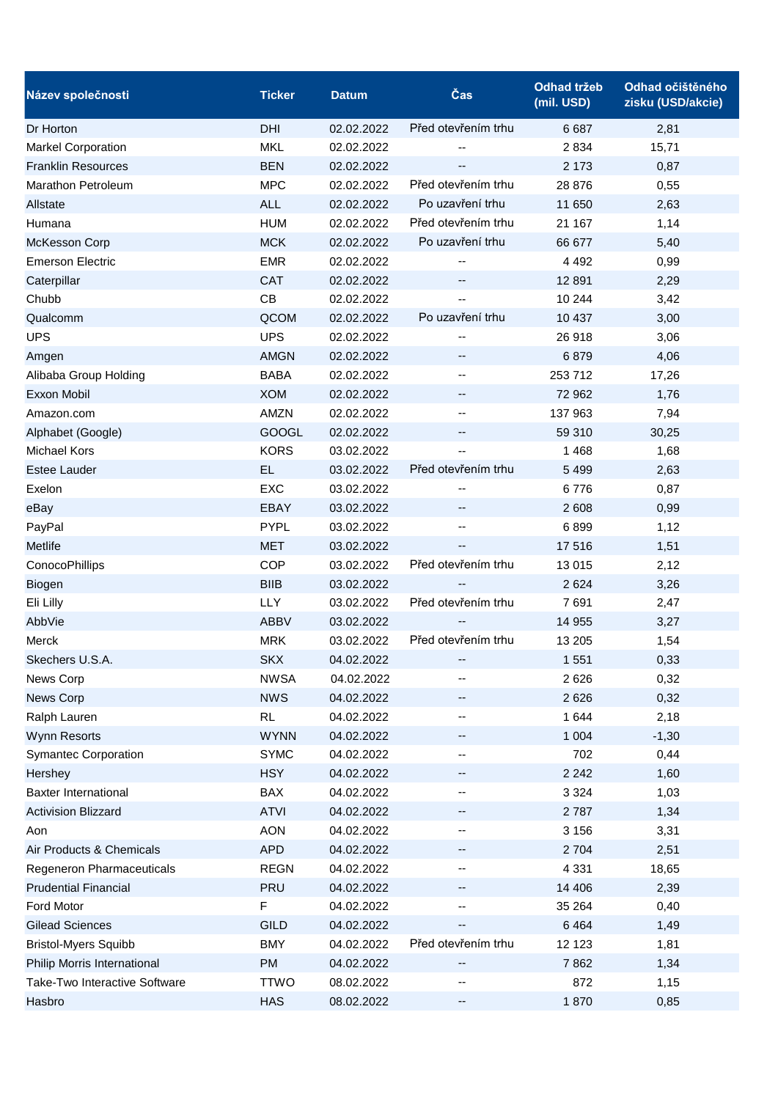| Název společnosti             | <b>Ticker</b> | <b>Datum</b> | Čas                      | <b>Odhad tržeb</b><br>(mil. USD) | Odhad očištěného<br>zisku (USD/akcie) |
|-------------------------------|---------------|--------------|--------------------------|----------------------------------|---------------------------------------|
| Dr Horton                     | DHI           | 02.02.2022   | Před otevřením trhu      | 6687                             | 2,81                                  |
| <b>Markel Corporation</b>     | <b>MKL</b>    | 02.02.2022   |                          | 2 8 3 4                          | 15,71                                 |
| <b>Franklin Resources</b>     | <b>BEN</b>    | 02.02.2022   |                          | 2 1 7 3                          | 0,87                                  |
| Marathon Petroleum            | <b>MPC</b>    | 02.02.2022   | Před otevřením trhu      | 28 876                           | 0,55                                  |
| Allstate                      | <b>ALL</b>    | 02.02.2022   | Po uzavření trhu         | 11 650                           | 2,63                                  |
| Humana                        | <b>HUM</b>    | 02.02.2022   | Před otevřením trhu      | 21 167                           | 1,14                                  |
| McKesson Corp                 | <b>MCK</b>    | 02.02.2022   | Po uzavření trhu         | 66 677                           | 5,40                                  |
| <b>Emerson Electric</b>       | <b>EMR</b>    | 02.02.2022   |                          | 4 4 9 2                          | 0,99                                  |
| Caterpillar                   | <b>CAT</b>    | 02.02.2022   | --                       | 12 8 91                          | 2,29                                  |
| Chubb                         | CB            | 02.02.2022   |                          | 10 244                           | 3,42                                  |
| Qualcomm                      | QCOM          | 02.02.2022   | Po uzavření trhu         | 10 437                           | 3,00                                  |
| <b>UPS</b>                    | <b>UPS</b>    | 02.02.2022   |                          | 26 918                           | 3,06                                  |
| Amgen                         | <b>AMGN</b>   | 02.02.2022   | --                       | 6879                             | 4,06                                  |
| Alibaba Group Holding         | <b>BABA</b>   | 02.02.2022   | $\overline{\phantom{a}}$ | 253 712                          | 17,26                                 |
| Exxon Mobil                   | <b>XOM</b>    | 02.02.2022   |                          | 72 962                           | 1,76                                  |
| Amazon.com                    | AMZN          | 02.02.2022   | --                       | 137 963                          | 7,94                                  |
| Alphabet (Google)             | <b>GOOGL</b>  | 02.02.2022   |                          | 59 310                           | 30,25                                 |
| <b>Michael Kors</b>           | <b>KORS</b>   | 03.02.2022   |                          | 1 4 6 8                          | 1,68                                  |
| <b>Estee Lauder</b>           | EL.           | 03.02.2022   | Před otevřením trhu      | 5 4 9 9                          | 2,63                                  |
| Exelon                        | <b>EXC</b>    | 03.02.2022   |                          | 6776                             | 0,87                                  |
| eBay                          | <b>EBAY</b>   | 03.02.2022   | --                       | 2 608                            | 0,99                                  |
| PayPal                        | <b>PYPL</b>   | 03.02.2022   |                          | 6899                             | 1,12                                  |
| Metlife                       | <b>MET</b>    | 03.02.2022   | --                       | 17 516                           | 1,51                                  |
| ConocoPhillips                | <b>COP</b>    | 03.02.2022   | Před otevřením trhu      | 13 015                           | 2,12                                  |
| Biogen                        | <b>BIIB</b>   | 03.02.2022   |                          | 2 6 2 4                          | 3,26                                  |
| Eli Lilly                     | <b>LLY</b>    | 03.02.2022   | Před otevřením trhu      | 7691                             | 2,47                                  |
| AbbVie                        | <b>ABBV</b>   | 03.02.2022   |                          | 14 955                           | 3,27                                  |
| <b>Merck</b>                  | <b>MRK</b>    | 03.02.2022   | Před otevřením trhu      | 13 205                           | 1,54                                  |
| Skechers U.S.A.               | <b>SKX</b>    | 04.02.2022   |                          | 1 5 5 1                          | 0,33                                  |
| News Corp                     | <b>NWSA</b>   | 04.02.2022   | --                       | 2626                             | 0,32                                  |
| News Corp                     | <b>NWS</b>    | 04.02.2022   | --                       | 2 6 2 6                          | 0,32                                  |
| Ralph Lauren                  | RL            | 04.02.2022   | ۰.                       | 1 644                            | 2,18                                  |
| Wynn Resorts                  | <b>WYNN</b>   | 04.02.2022   | −−                       | 1 0 0 4                          | $-1,30$                               |
| <b>Symantec Corporation</b>   | <b>SYMC</b>   | 04.02.2022   |                          | 702                              | 0,44                                  |
| Hershey                       | <b>HSY</b>    | 04.02.2022   | ₩.                       | 2 2 4 2                          | 1,60                                  |
| <b>Baxter International</b>   | <b>BAX</b>    | 04.02.2022   | --                       | 3 3 2 4                          | 1,03                                  |
| <b>Activision Blizzard</b>    | <b>ATVI</b>   | 04.02.2022   | --                       | 2 7 8 7                          | 1,34                                  |
| Aon                           | <b>AON</b>    | 04.02.2022   |                          | 3 1 5 6                          | 3,31                                  |
| Air Products & Chemicals      | <b>APD</b>    | 04.02.2022   | --                       | 2 7 0 4                          | 2,51                                  |
| Regeneron Pharmaceuticals     | <b>REGN</b>   | 04.02.2022   | --                       | 4 3 3 1                          | 18,65                                 |
| <b>Prudential Financial</b>   | PRU           | 04.02.2022   |                          | 14 40 6                          | 2,39                                  |
| Ford Motor                    | F             | 04.02.2022   |                          | 35 264                           | 0,40                                  |
| <b>Gilead Sciences</b>        | <b>GILD</b>   | 04.02.2022   |                          | 6 4 6 4                          | 1,49                                  |
| <b>Bristol-Myers Squibb</b>   | <b>BMY</b>    | 04.02.2022   | Před otevřením trhu      | 12 123                           | 1,81                                  |
| Philip Morris International   | PM            | 04.02.2022   |                          | 7862                             | 1,34                                  |
| Take-Two Interactive Software | <b>TTWO</b>   | 08.02.2022   |                          | 872                              | 1,15                                  |
| Hasbro                        | <b>HAS</b>    | 08.02.2022   | ⊷                        | 1870                             | 0,85                                  |
|                               |               |              |                          |                                  |                                       |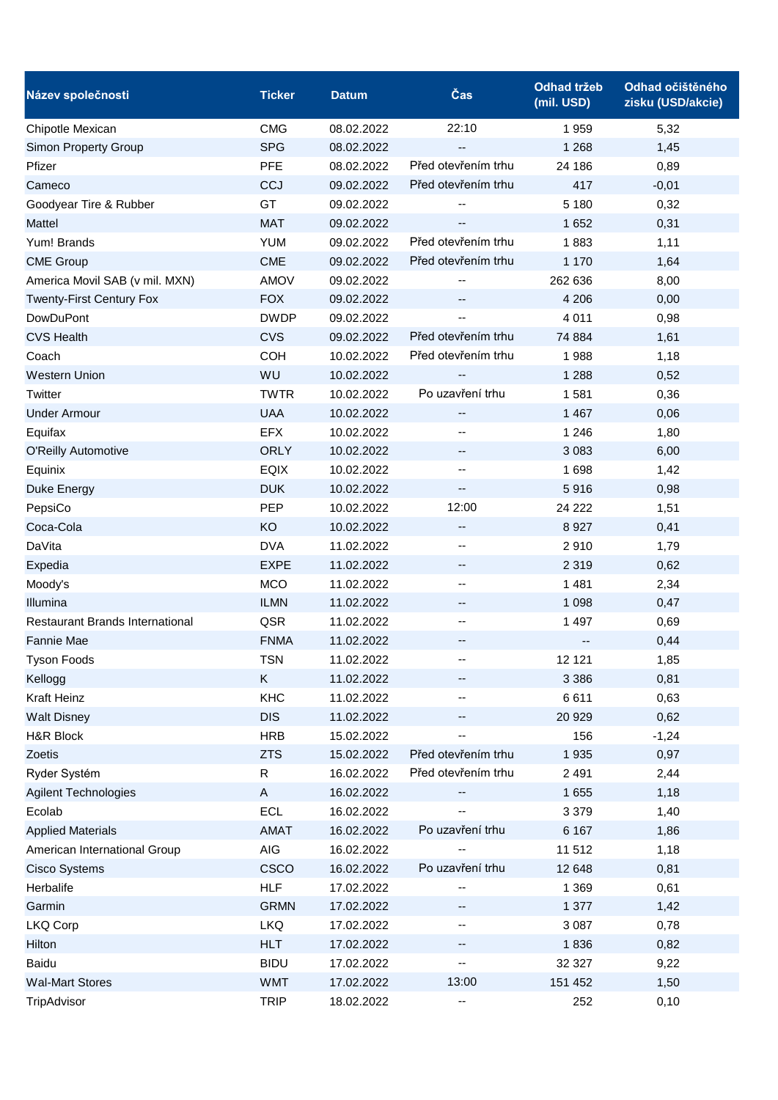| Název společnosti                      | <b>Ticker</b> | <b>Datum</b> | Čas                 | <b>Odhad tržeb</b><br>(mil. USD) | Odhad očištěného<br>zisku (USD/akcie) |
|----------------------------------------|---------------|--------------|---------------------|----------------------------------|---------------------------------------|
| Chipotle Mexican                       | <b>CMG</b>    | 08.02.2022   | 22:10               | 1959                             | 5,32                                  |
| Simon Property Group                   | <b>SPG</b>    | 08.02.2022   | --                  | 1 2 6 8                          | 1,45                                  |
| Pfizer                                 | <b>PFE</b>    | 08.02.2022   | Před otevřením trhu | 24 186                           | 0,89                                  |
| Cameco                                 | CCJ           | 09.02.2022   | Před otevřením trhu | 417                              | $-0,01$                               |
| Goodyear Tire & Rubber                 | GT            | 09.02.2022   |                     | 5 1 8 0                          | 0,32                                  |
| Mattel                                 | <b>MAT</b>    | 09.02.2022   |                     | 1652                             | 0,31                                  |
| Yum! Brands                            | <b>YUM</b>    | 09.02.2022   | Před otevřením trhu | 1883                             | 1,11                                  |
| <b>CME Group</b>                       | <b>CME</b>    | 09.02.2022   | Před otevřením trhu | 1 1 7 0                          | 1,64                                  |
| America Movil SAB (v mil. MXN)         | <b>AMOV</b>   | 09.02.2022   |                     | 262 636                          | 8,00                                  |
| <b>Twenty-First Century Fox</b>        | <b>FOX</b>    | 09.02.2022   |                     | 4 2 0 6                          | 0,00                                  |
| DowDuPont                              | <b>DWDP</b>   | 09.02.2022   |                     | 4 0 1 1                          | 0,98                                  |
| <b>CVS Health</b>                      | <b>CVS</b>    | 09.02.2022   | Před otevřením trhu | 74 884                           | 1,61                                  |
| Coach                                  | <b>COH</b>    | 10.02.2022   | Před otevřením trhu | 1988                             | 1,18                                  |
| <b>Western Union</b>                   | WU            | 10.02.2022   |                     | 1 2 8 8                          | 0,52                                  |
| Twitter                                | <b>TWTR</b>   | 10.02.2022   | Po uzavření trhu    | 1 5 8 1                          | 0,36                                  |
| <b>Under Armour</b>                    | <b>UAA</b>    | 10.02.2022   | --                  | 1 4 6 7                          | 0,06                                  |
| Equifax                                | <b>EFX</b>    | 10.02.2022   |                     | 1 2 4 6                          | 1,80                                  |
| <b>O'Reilly Automotive</b>             | <b>ORLY</b>   | 10.02.2022   | --                  | 3 0 8 3                          | 6,00                                  |
| Equinix                                | <b>EQIX</b>   | 10.02.2022   | --                  | 1698                             | 1,42                                  |
| Duke Energy                            | <b>DUK</b>    | 10.02.2022   | --                  | 5916                             | 0,98                                  |
| PepsiCo                                | <b>PEP</b>    | 10.02.2022   | 12:00               | 24 222                           | 1,51                                  |
| Coca-Cola                              | KO            | 10.02.2022   | --                  | 8 9 27                           | 0,41                                  |
| DaVita                                 | <b>DVA</b>    | 11.02.2022   | --                  | 2910                             | 1,79                                  |
| Expedia                                | <b>EXPE</b>   | 11.02.2022   | --                  | 2 3 1 9                          | 0,62                                  |
| Moody's                                | <b>MCO</b>    | 11.02.2022   | --                  | 1 4 8 1                          | 2,34                                  |
| Illumina                               | <b>ILMN</b>   | 11.02.2022   | --                  | 1 0 9 8                          | 0,47                                  |
| <b>Restaurant Brands International</b> | QSR           | 11.02.2022   | --                  | 1 4 9 7                          | 0,69                                  |
| Fannie Mae                             | <b>FNMA</b>   | 11.02.2022   | $\qquad \qquad -$   |                                  | 0,44                                  |
| <b>Tyson Foods</b>                     | <b>TSN</b>    | 11.02.2022   |                     | 12 121                           | 1,85                                  |
| Kellogg                                | Κ             | 11.02.2022   | ۰.                  | 3 3 8 6                          | 0,81                                  |
| Kraft Heinz                            | KHC           | 11.02.2022   |                     | 6611                             | 0,63                                  |
| <b>Walt Disney</b>                     | <b>DIS</b>    | 11.02.2022   | --                  | 20 9 29                          | 0,62                                  |
| H&R Block                              | <b>HRB</b>    | 15.02.2022   |                     | 156                              | $-1,24$                               |
| Zoetis                                 | <b>ZTS</b>    | 15.02.2022   | Před otevřením trhu | 1 9 3 5                          | 0,97                                  |
| Ryder Systém                           | $\mathsf{R}$  | 16.02.2022   | Před otevřením trhu | 2 4 9 1                          | 2,44                                  |
| Agilent Technologies                   | $\mathsf{A}$  | 16.02.2022   |                     | 1 6 5 5                          | 1,18                                  |
| Ecolab                                 | <b>ECL</b>    | 16.02.2022   |                     | 3 3 7 9                          | 1,40                                  |
| <b>Applied Materials</b>               | <b>AMAT</b>   | 16.02.2022   | Po uzavření trhu    | 6 1 6 7                          | 1,86                                  |
| American International Group           | <b>AIG</b>    | 16.02.2022   |                     | 11 512                           | 1,18                                  |
| <b>Cisco Systems</b>                   | <b>CSCO</b>   | 16.02.2022   | Po uzavření trhu    | 12 648                           | 0,81                                  |
| Herbalife                              | <b>HLF</b>    | 17.02.2022   |                     | 1 3 6 9                          | 0,61                                  |
| Garmin                                 | <b>GRMN</b>   | 17.02.2022   | ۰.                  | 1 377                            | 1,42                                  |
| LKQ Corp                               | <b>LKQ</b>    | 17.02.2022   |                     | 3 0 8 7                          | 0,78                                  |
| Hilton                                 | <b>HLT</b>    | 17.02.2022   | --                  | 1836                             | 0,82                                  |
| Baidu                                  | <b>BIDU</b>   | 17.02.2022   | ۰.                  | 32 327                           | 9,22                                  |
| <b>Wal-Mart Stores</b>                 | <b>WMT</b>    | 17.02.2022   | 13:00               | 151 452                          | 1,50                                  |
| TripAdvisor                            | <b>TRIP</b>   | 18.02.2022   | --                  | 252                              | 0,10                                  |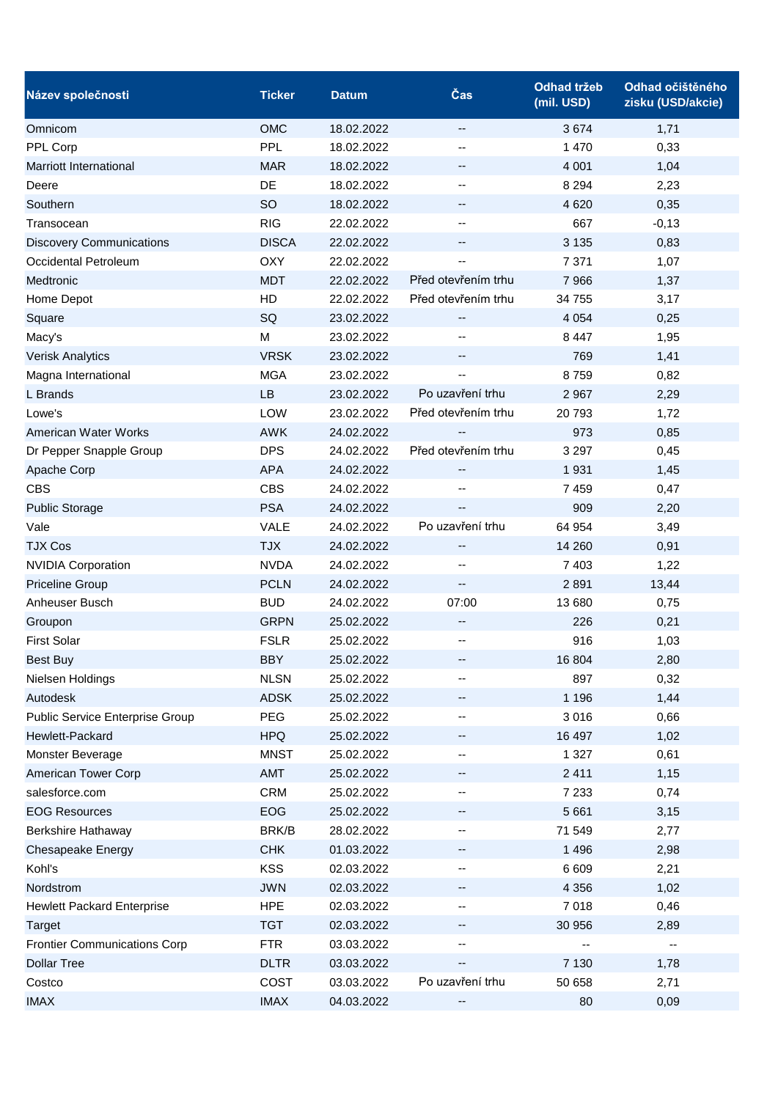| Název společnosti                   | <b>Ticker</b> | <b>Datum</b> | Čas                 | <b>Odhad tržeb</b><br>(mil. USD) | Odhad očištěného<br>zisku (USD/akcie) |
|-------------------------------------|---------------|--------------|---------------------|----------------------------------|---------------------------------------|
| Omnicom                             | <b>OMC</b>    | 18.02.2022   | $-$                 | 3674                             | 1,71                                  |
| PPL Corp                            | <b>PPL</b>    | 18.02.2022   | --                  | 1 470                            | 0,33                                  |
| <b>Marriott International</b>       | <b>MAR</b>    | 18.02.2022   | --                  | 4 0 0 1                          | 1,04                                  |
| Deere                               | DE            | 18.02.2022   | --                  | 8 2 9 4                          | 2,23                                  |
| Southern                            | SO            | 18.02.2022   | --                  | 4 6 20                           | 0,35                                  |
| Transocean                          | <b>RIG</b>    | 22.02.2022   | --                  | 667                              | $-0,13$                               |
| <b>Discovery Communications</b>     | <b>DISCA</b>  | 22.02.2022   | --                  | 3 1 3 5                          | 0,83                                  |
| Occidental Petroleum                | <b>OXY</b>    | 22.02.2022   |                     | 7 3 7 1                          | 1,07                                  |
| Medtronic                           | <b>MDT</b>    | 22.02.2022   | Před otevřením trhu | 7 9 6 6                          | 1,37                                  |
| Home Depot                          | HD            | 22.02.2022   | Před otevřením trhu | 34 755                           | 3,17                                  |
| Square                              | SQ            | 23.02.2022   |                     | 4 0 5 4                          | 0,25                                  |
| Macy's                              | M             | 23.02.2022   | --                  | 8 4 4 7                          | 1,95                                  |
| <b>Verisk Analytics</b>             | <b>VRSK</b>   | 23.02.2022   | --                  | 769                              | 1,41                                  |
| Magna International                 | <b>MGA</b>    | 23.02.2022   | --                  | 8759                             | 0,82                                  |
| L Brands                            | <b>LB</b>     | 23.02.2022   | Po uzavření trhu    | 2 9 6 7                          | 2,29                                  |
| Lowe's                              | LOW           | 23.02.2022   | Před otevřením trhu | 20 793                           | 1,72                                  |
| American Water Works                | <b>AWK</b>    | 24.02.2022   |                     | 973                              | 0,85                                  |
| Dr Pepper Snapple Group             | <b>DPS</b>    | 24.02.2022   | Před otevřením trhu | 3 2 9 7                          | 0,45                                  |
| Apache Corp                         | <b>APA</b>    | 24.02.2022   | --                  | 1 9 3 1                          | 1,45                                  |
| <b>CBS</b>                          | <b>CBS</b>    | 24.02.2022   | --                  | 7459                             | 0,47                                  |
| <b>Public Storage</b>               | <b>PSA</b>    | 24.02.2022   | $-$                 | 909                              | 2,20                                  |
| Vale                                | <b>VALE</b>   | 24.02.2022   | Po uzavření trhu    | 64 954                           | 3,49                                  |
| <b>TJX Cos</b>                      | <b>TJX</b>    | 24.02.2022   | --                  | 14 260                           | 0,91                                  |
| <b>NVIDIA Corporation</b>           | <b>NVDA</b>   | 24.02.2022   | $-$                 | 7 4 0 3                          | 1,22                                  |
| <b>Priceline Group</b>              | <b>PCLN</b>   | 24.02.2022   | --                  | 2 8 9 1                          | 13,44                                 |
| Anheuser Busch                      | <b>BUD</b>    | 24.02.2022   | 07:00               | 13 680                           | 0,75                                  |
| Groupon                             | <b>GRPN</b>   | 25.02.2022   | --                  | 226                              | 0,21                                  |
| <b>First Solar</b>                  | <b>FSLR</b>   | 25.02.2022   | --                  | 916                              | 1,03                                  |
| Best Buy                            | <b>BBY</b>    | 25.02.2022   |                     | 16 804                           | 2,80                                  |
| Nielsen Holdings                    | <b>NLSN</b>   | 25.02.2022   | --                  | 897                              | 0,32                                  |
| Autodesk                            | <b>ADSK</b>   | 25.02.2022   | --                  | 1 1 9 6                          | 1,44                                  |
| Public Service Enterprise Group     | PEG           | 25.02.2022   | --                  | 3 0 1 6                          | 0,66                                  |
| Hewlett-Packard                     | <b>HPQ</b>    | 25.02.2022   | --                  | 16 497                           | 1,02                                  |
| Monster Beverage                    | <b>MNST</b>   | 25.02.2022   | --                  | 1 3 2 7                          | 0,61                                  |
| American Tower Corp                 | AMT           | 25.02.2022   | -−                  | 2 4 1 1                          | 1,15                                  |
| salesforce.com                      | <b>CRM</b>    | 25.02.2022   | --                  | 7 2 3 3                          | 0,74                                  |
| <b>EOG Resources</b>                | <b>EOG</b>    | 25.02.2022   | --                  | 5 6 6 1                          | 3,15                                  |
| <b>Berkshire Hathaway</b>           | BRK/B         | 28.02.2022   | --                  | 71 549                           | 2,77                                  |
| Chesapeake Energy                   | <b>CHK</b>    | 01.03.2022   | --                  | 1 4 9 6                          | 2,98                                  |
| Kohl's                              | <b>KSS</b>    | 02.03.2022   | --                  | 6 6 0 9                          | 2,21                                  |
| Nordstrom                           | <b>JWN</b>    | 02.03.2022   |                     | 4 3 5 6                          | 1,02                                  |
| <b>Hewlett Packard Enterprise</b>   | <b>HPE</b>    | 02.03.2022   | --                  | 7 0 18                           | 0,46                                  |
| <b>Target</b>                       | <b>TGT</b>    | 02.03.2022   | --                  | 30 956                           | 2,89                                  |
| <b>Frontier Communications Corp</b> | <b>FTR</b>    | 03.03.2022   | --                  |                                  |                                       |
| <b>Dollar Tree</b>                  | <b>DLTR</b>   | 03.03.2022   | --                  | 7 1 3 0                          | 1,78                                  |
| Costco                              | COST          | 03.03.2022   | Po uzavření trhu    | 50 658                           | 2,71                                  |
| <b>IMAX</b>                         | <b>IMAX</b>   | 04.03.2022   |                     | 80                               | 0,09                                  |